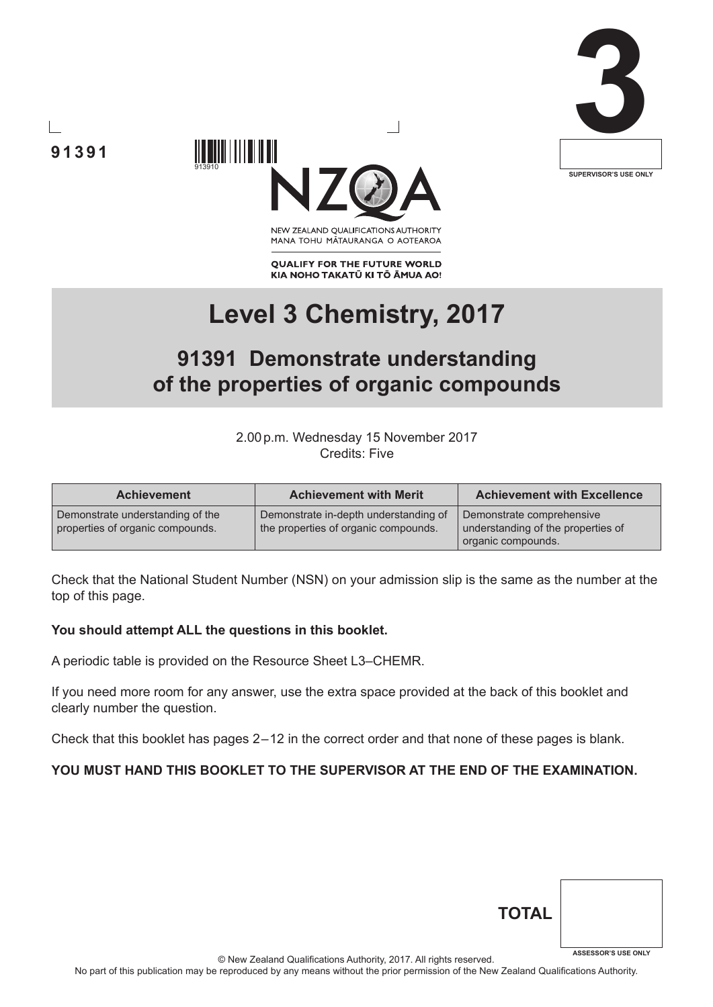





NEW ZEALAND OUALIFICATIONS AUTHORITY MANA TOHU MĀTAURANGA O AOTEAROA

**QUALIFY FOR THE FUTURE WORLD** KIA NOHO TAKATŪ KI TŌ ĀMUA AO!

# **Level 3 Chemistry, 2017**

# **91391 Demonstrate understanding of the properties of organic compounds**

2.00p.m. Wednesday 15 November 2017 Credits: Five

| <b>Achievement</b>                                                   | <b>Achievement with Merit</b>                                                 | <b>Achievement with Excellence</b>                                                    |
|----------------------------------------------------------------------|-------------------------------------------------------------------------------|---------------------------------------------------------------------------------------|
| Demonstrate understanding of the<br>properties of organic compounds. | Demonstrate in-depth understanding of<br>the properties of organic compounds. | Demonstrate comprehensive<br>understanding of the properties of<br>organic compounds. |

Check that the National Student Number (NSN) on your admission slip is the same as the number at the top of this page.

#### **You should attempt ALL the questions in this booklet.**

A periodic table is provided on the Resource Sheet L3–CHEMR.

If you need more room for any answer, use the extra space provided at the back of this booklet and clearly number the question.

Check that this booklet has pages 2 – 12 in the correct order and that none of these pages is blank.

#### **YOU MUST HAND THIS BOOKLET TO THE SUPERVISOR AT THE END OF THE EXAMINATION.**

| <b>TOTAL</b> |                            |
|--------------|----------------------------|
|              | <b>ASSESSOR'S USE ONLY</b> |

© New Zealand Qualifications Authority, 2017. All rights reserved.

No part of this publication may be reproduced by any means without the prior permission of the New Zealand Qualifications Authority.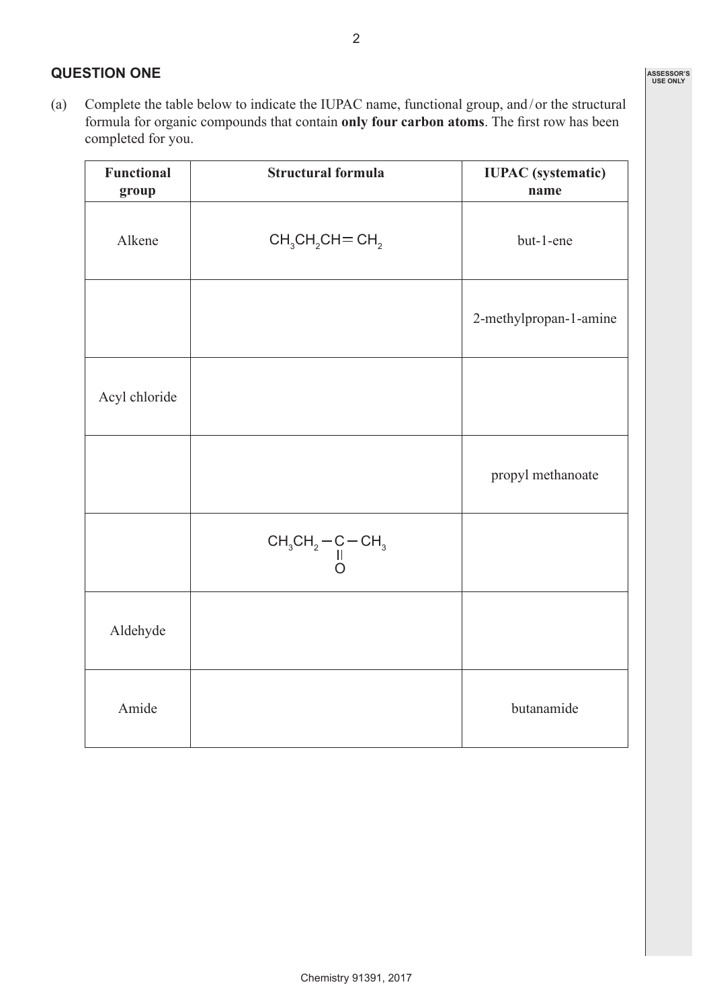## **QUESTION ONE**

(a) Complete the table below to indicate the IUPAC name, functional group, and/ or the structural formula for organic compounds that contain **only four carbon atoms**. The first row has been completed for you.

| <b>Functional</b><br>group | <b>Structural formula</b>                                                                                                               | <b>IUPAC</b> (systematic)<br>name |
|----------------------------|-----------------------------------------------------------------------------------------------------------------------------------------|-----------------------------------|
| Alkene                     | $CH3CH2CH = CH2$                                                                                                                        | but-1-ene                         |
|                            |                                                                                                                                         | 2-methylpropan-1-amine            |
| Acyl chloride              |                                                                                                                                         |                                   |
|                            |                                                                                                                                         | propyl methanoate                 |
|                            | $\begin{array}{c}\n\mathsf{CH}_{3}\mathsf{CH}_{2}\mathrm{-}\mathsf{C}\mathrm{-}\mathsf{CH}_{3} \\ \parallel \\ \mathsf{O}\n\end{array}$ |                                   |
| Aldehyde                   |                                                                                                                                         |                                   |
| Amide                      |                                                                                                                                         | butanamide                        |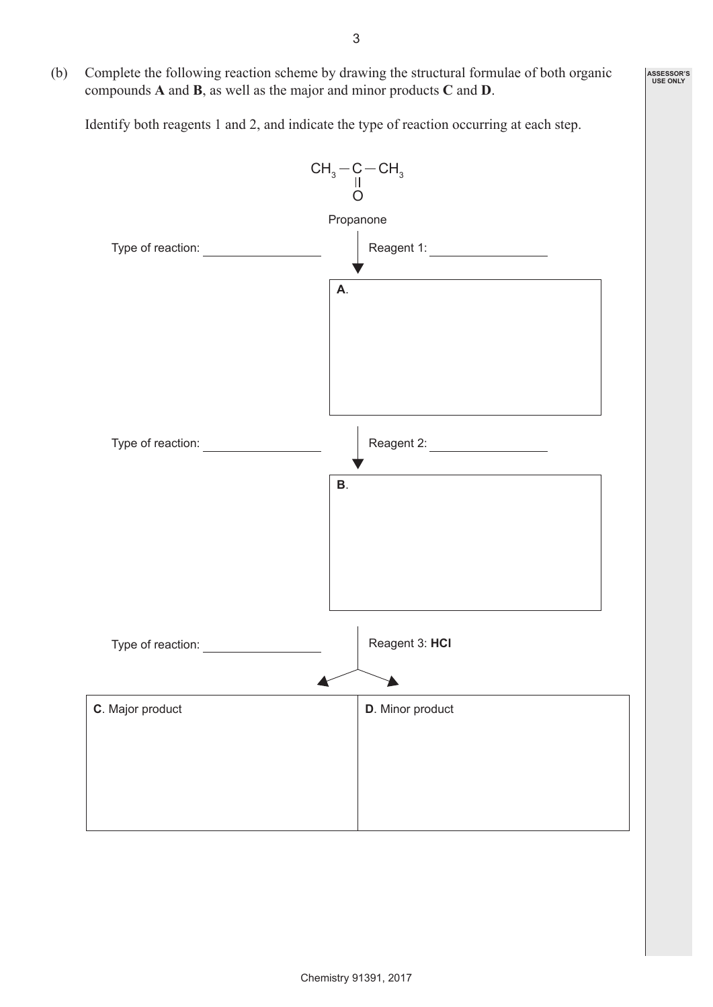(b) Complete the following reaction scheme by drawing the structural formulae of both organic compounds **A** and **B**, as well as the major and minor products **C** and **D**.

Identify both reagents 1 and 2, and indicate the type of reaction occurring at each step.

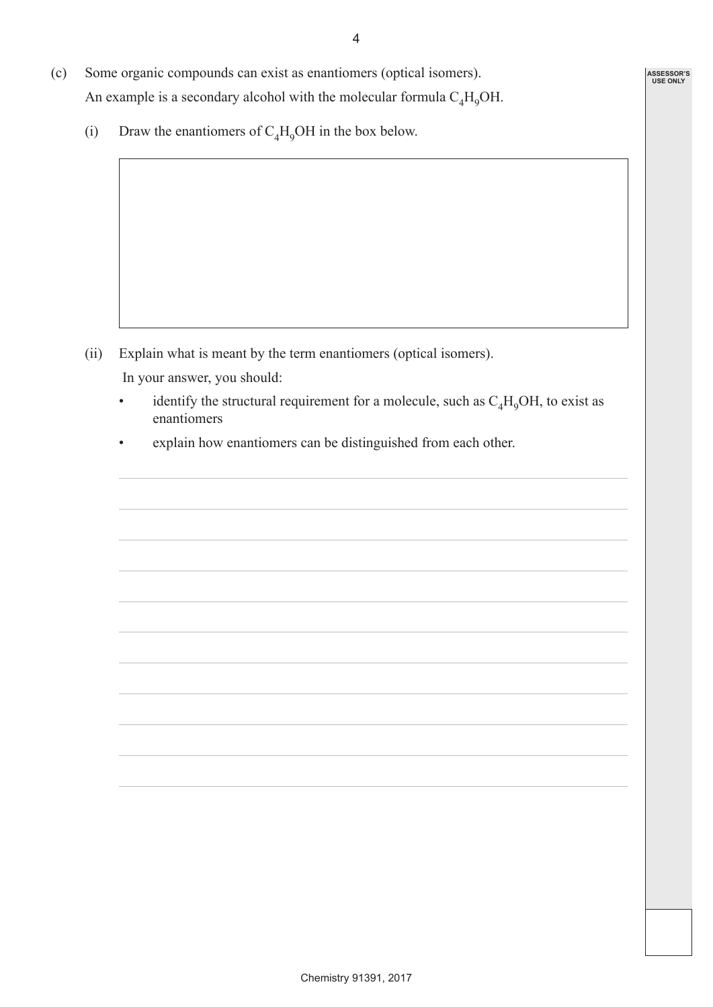- (c) Some organic compounds can exist as enantiomers (optical isomers). An example is a secondary alcohol with the molecular formula  $C_A H_0OH$ .
	- (i) Draw the enantiomers of  $C_4H_9OH$  in the box below.

- (ii) Explain what is meant by the term enantiomers (optical isomers). In your answer, you should:
	- identify the structural requirement for a molecule, such as  $C_4H_9OH$ , to exist as enantiomers
	- explain how enantiomers can be distinguished from each other.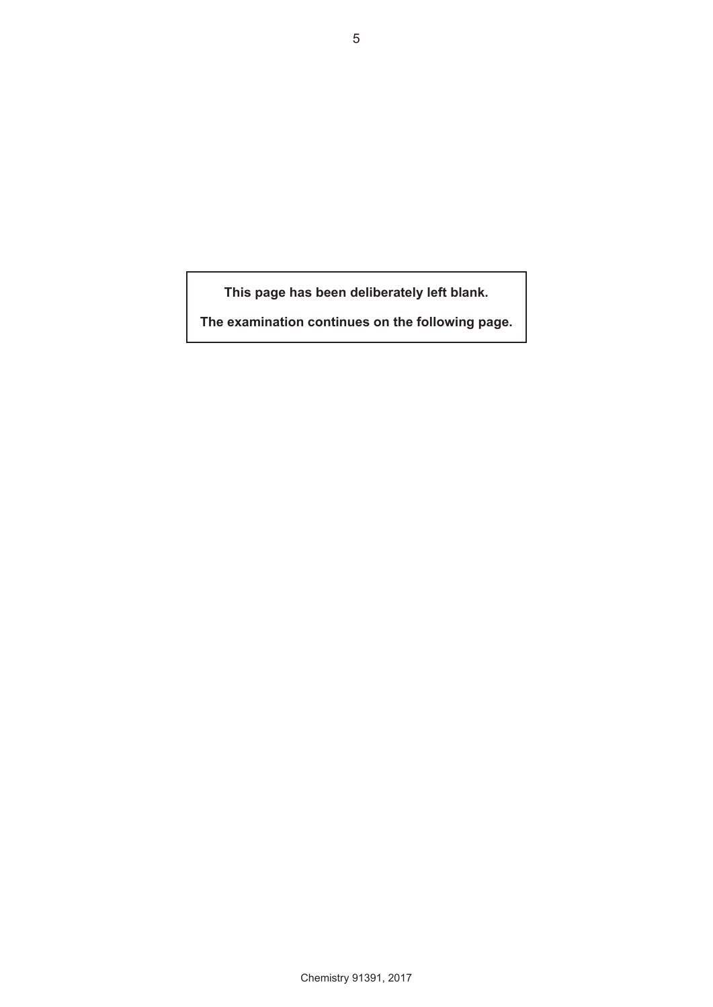**This page has been deliberately left blank.**

**The examination continues on the following page.**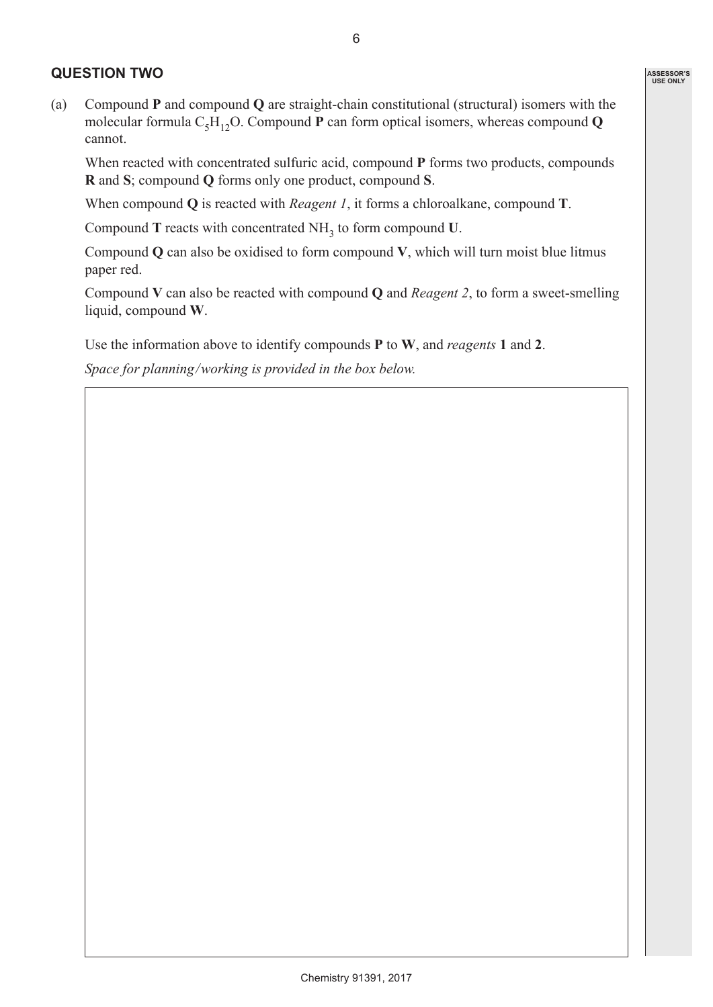#### **QUESTION TWO**

(a) Compound **P** and compound **Q** are straight-chain constitutional (structural) isomers with the molecular formula  $C_5H_{12}O$ . Compound **P** can form optical isomers, whereas compound **Q** cannot.

When reacted with concentrated sulfuric acid, compound **P** forms two products, compounds **R** and **S**; compound **Q** forms only one product, compound **S**.

When compound **Q** is reacted with *Reagent 1*, it forms a chloroalkane, compound **T**.

Compound **T** reacts with concentrated NH3 to form compound **U**.

Compound **Q** can also be oxidised to form compound **V**, which will turn moist blue litmus paper red.

Compound **V** can also be reacted with compound **Q** and *Reagent 2*, to form a sweet-smelling liquid, compound **W**.

Use the information above to identify compounds **P** to **W**, and *reagents* **1** and **2**.

*Space for planning / working is provided in the box below.*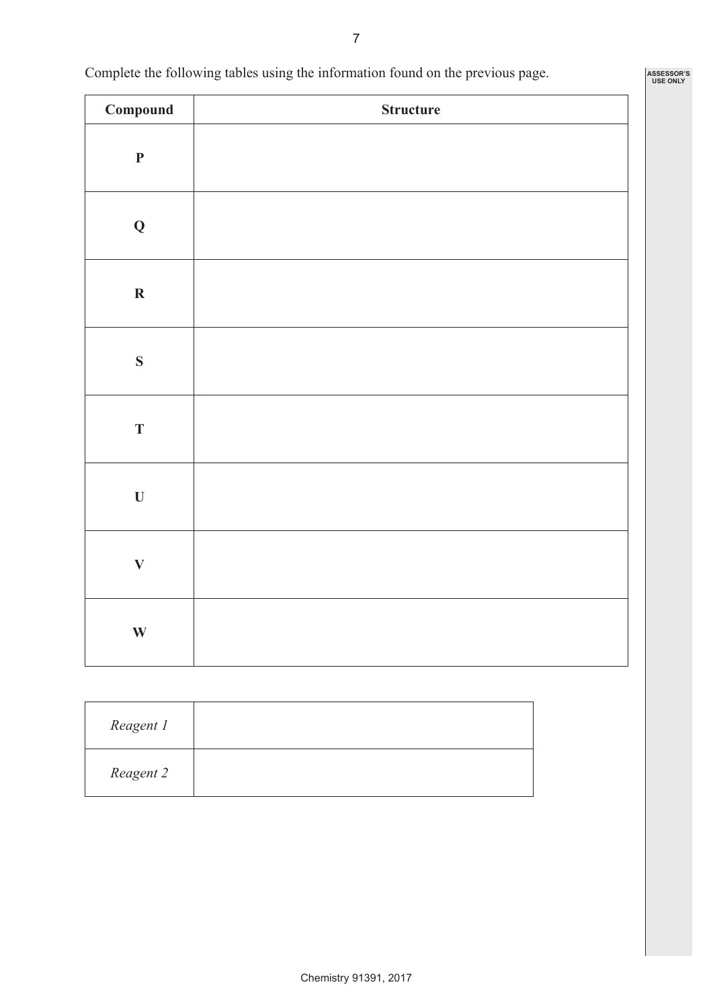Complete the following tables using the information found on the previous page.

| $\label{subeq:compound} \textbf{Compound}$ | <b>Structure</b> |
|--------------------------------------------|------------------|
| $\mathbf P$                                |                  |
| $\bf{Q}$                                   |                  |
| $\boldsymbol{\mathrm{R}}$                  |                  |
| S                                          |                  |
| $\mathbf T$                                |                  |
| $\mathbf U$                                |                  |
| $\bar{\mathbf{V}}$                         |                  |
| $\mathbf{W}$                               |                  |

| Reagent 1 |  |
|-----------|--|
| Reagent 2 |  |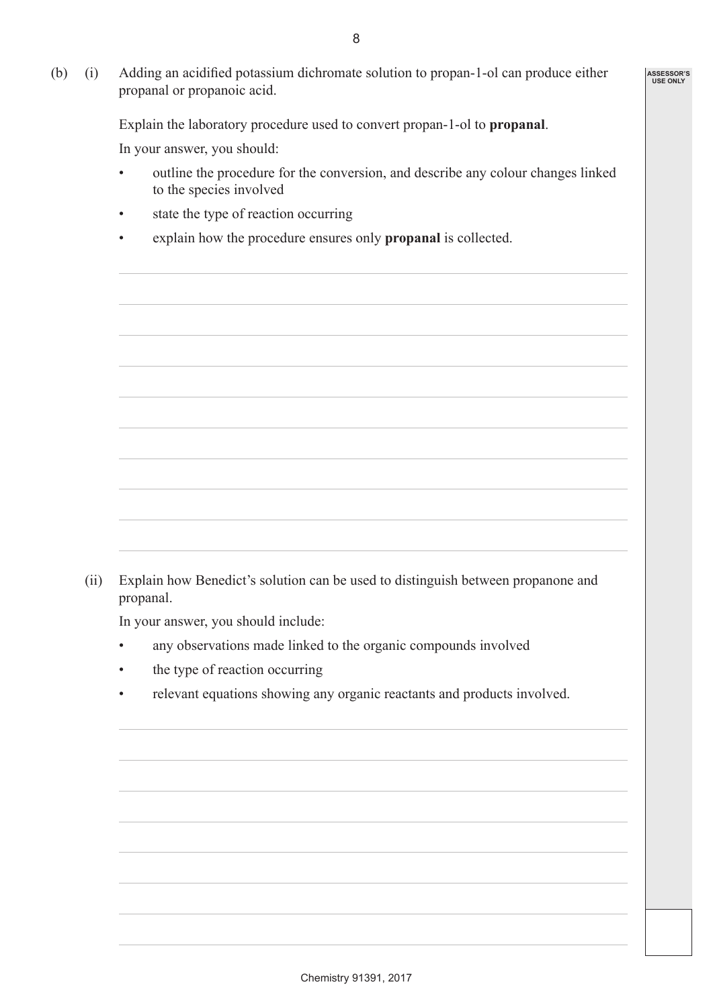**ASSESSOR'S USE ONLY**

(b) (i) Adding an acidified potassium dichromate solution to propan-1-ol can produce either propanal or propanoic acid.

Explain the laboratory procedure used to convert propan-1-ol to **propanal**.

In your answer, you should:

- outline the procedure for the conversion, and describe any colour changes linked to the species involved
- state the type of reaction occurring
- explain how the procedure ensures only **propanal** is collected.

(ii) Explain how Benedict's solution can be used to distinguish between propanone and propanal.

In your answer, you should include:

- any observations made linked to the organic compounds involved
- the type of reaction occurring
- relevant equations showing any organic reactants and products involved.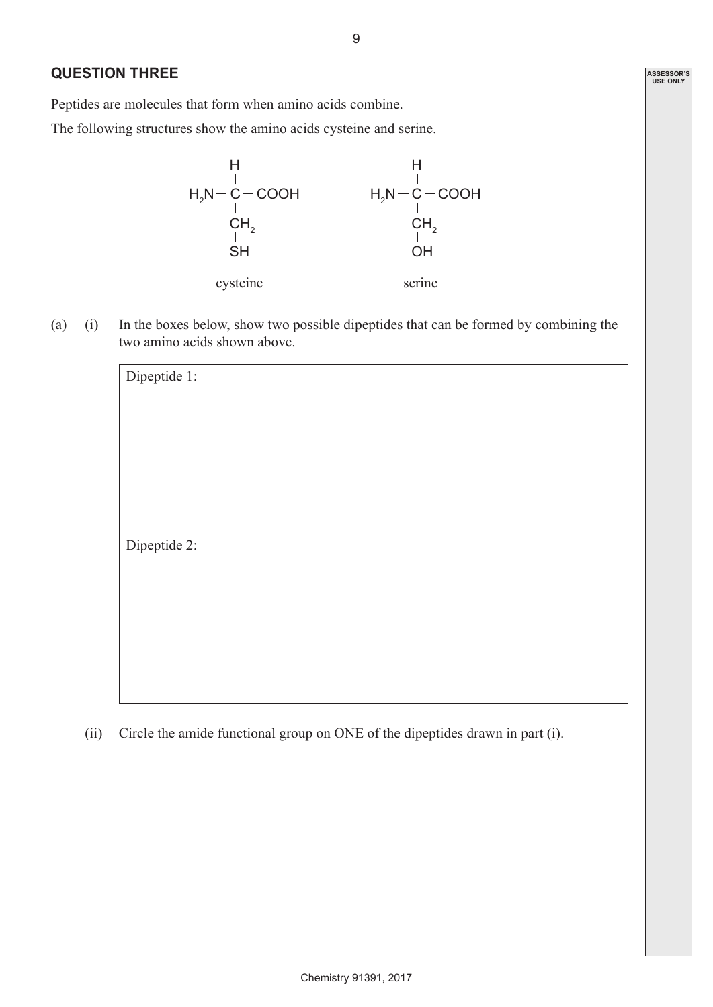### **QUESTION THREE**

Peptides are molecules that form when amino acids combine.

The following structures show the amino acids cysteine and serine.



(a) (i) In the boxes below, show two possible dipeptides that can be formed by combining the two amino acids shown above.

| Dipeptide 1: |  |  |
|--------------|--|--|
|              |  |  |
|              |  |  |
|              |  |  |
|              |  |  |
|              |  |  |
|              |  |  |
| Dipeptide 2: |  |  |
|              |  |  |
|              |  |  |
|              |  |  |
|              |  |  |
|              |  |  |

(ii) Circle the amide functional group on ONE of the dipeptides drawn in part (i).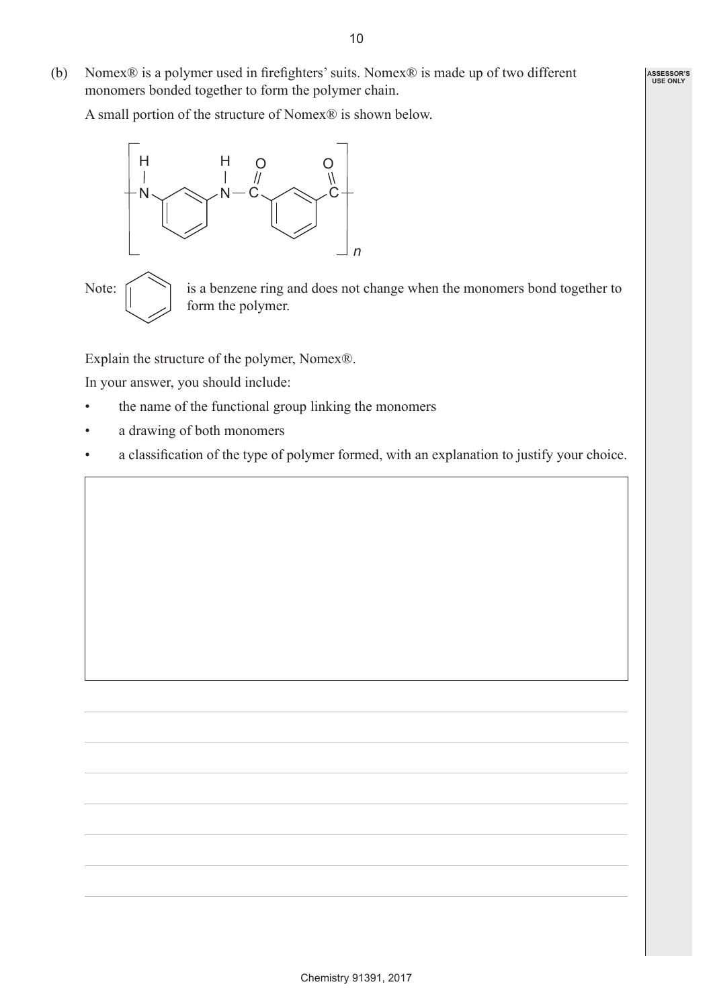(b) Nomex® is a polymer used in firefighters' suits. Nomex® is made up of two different monomers bonded together to form the polymer chain.

A small portion of the structure of Nomex® is shown below.



Note:  $\bigcap$  is a benzene ring and does not change when the monomers bond together to form the polymer.

Explain the structure of the polymer, Nomex®.

In your answer, you should include:

- the name of the functional group linking the monomers
- a drawing of both monomers
- a classification of the type of polymer formed, with an explanation to justify your choice.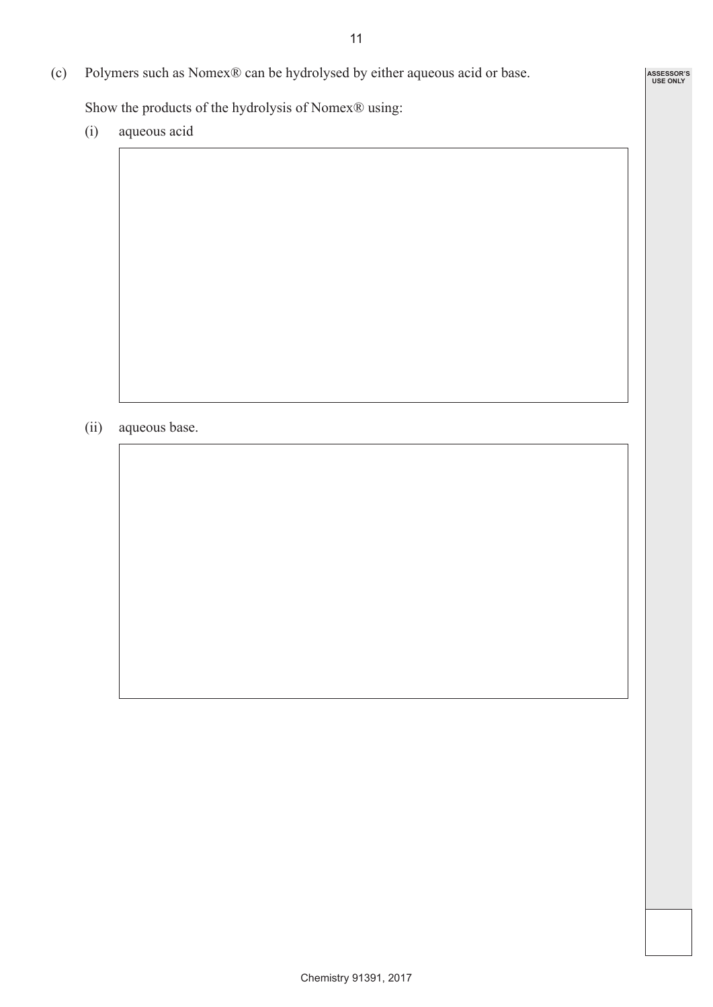**ASSESSOR'S USE ONLY**

(c) Polymers such as Nomex® can be hydrolysed by either aqueous acid or base.

Show the products of the hydrolysis of Nomex® using:

(i) aqueous acid

(ii) aqueous base.